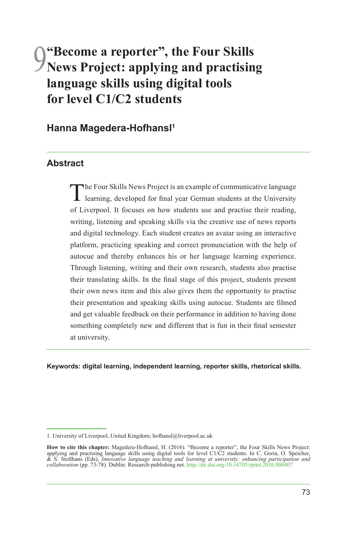# 9**"Become a reporter", the Four Skills News Project: applying and practising language skills using digital tools for level C1/C2 students**

**Hanna Magedera-Hofhansl1**

#### **Abstract**

The Four Skills News Project is an example of communicative language learning, developed for final year German students at the University of Liverpool. It focuses on how students use and practise their reading, writing, listening and speaking skills via the creative use of news reports and digital technology. Each student creates an avatar using an interactive platform, practicing speaking and correct pronunciation with the help of autocue and thereby enhances his or her language learning experience. Through listening, writing and their own research, students also practise their translating skills. In the final stage of this project, students present their own news item and this also gives them the opportunity to practise their presentation and speaking skills using autocue. Students are filmed and get valuable feedback on their performance in addition to having done something completely new and different that is fun in their final semester at university.

**Keywords: digital learning, independent learning, reporter skills, rhetorical skills.**

<sup>1.</sup> University of Liverpool, United Kingdom; hofhansl@liverpool.ac.uk

**How to cite this chapter:** Magedera-Hofhansl, H. (2016). "Become a reporter", the Four Skills News Project: applying and practising language skills using digital tools for level C1/C2 students. In C. Goria, O. Speicher, & *collaboration* (pp. 73-78). Dublin: Research-publishing.net. <http://dx.doi.org/10.14705/rpnet.2016.000407>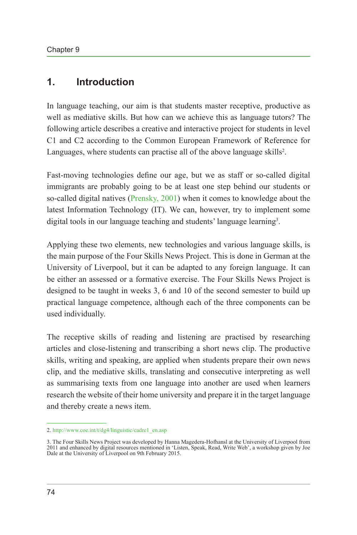#### **1. Introduction**

In language teaching, our aim is that students master receptive, productive as well as mediative skills. But how can we achieve this as language tutors? The following article describes a creative and interactive project for students in level C1 and C2 according to the Common European Framework of Reference for Languages, where students can practise all of the above language skills<sup>2</sup>.

Fast-moving technologies define our age, but we as staff or so-called digital immigrants are probably going to be at least one step behind our students or so-called digital natives ([Prensky, 2001](#page-5-0)) when it comes to knowledge about the latest Information Technology (IT). We can, however, try to implement some digital tools in our language teaching and students' language learning<sup>3</sup>.

Applying these two elements, new technologies and various language skills, is the main purpose of the Four Skills News Project. This is done in German at the University of Liverpool, but it can be adapted to any foreign language. It can be either an assessed or a formative exercise. The Four Skills News Project is designed to be taught in weeks 3, 6 and 10 of the second semester to build up practical language competence, although each of the three components can be used individually.

The receptive skills of reading and listening are practised by researching articles and close-listening and transcribing a short news clip. The productive skills, writing and speaking, are applied when students prepare their own news clip, and the mediative skills, translating and consecutive interpreting as well as summarising texts from one language into another are used when learners research the website of their home university and prepare it in the target language and thereby create a news item.

<sup>2.</sup> [http://www.coe.int/t/dg4/linguistic/cadre1\\_en.asp](http://www.coe.int/t/dg4/linguistic/cadre1_en.asp)

<sup>3.</sup> The Four Skills News Project was developed by Hanna Magedera-Hofhansl at the University of Liverpool from 2011 and enhanced by digital resources mentioned in 'Listen, Speak, Read, Write Web', a workshop given by Joe Dale at the University of Liverpool on 9th February 2015.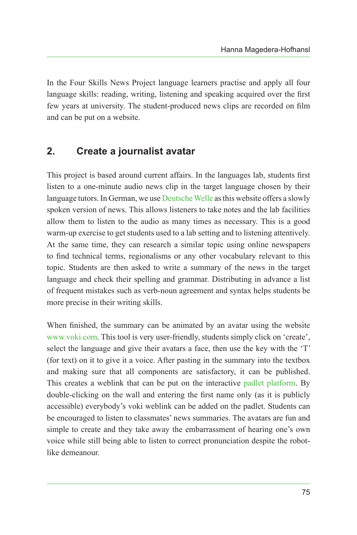In the Four Skills News Project language learners practise and apply all four language skills: reading, writing, listening and speaking acquired over the first few years at university. The student-produced news clips are recorded on film and can be put on a website.

### **2. Create a journalist avatar**

This project is based around current affairs. In the languages lab, students first listen to a one-minute audio news clip in the target language chosen by their language tutors. In German, we use [Deutsche Welle](#page-5-1) as this website offers a slowly spoken version of news. This allows listeners to take notes and the lab facilities allow them to listen to the audio as many times as necessary. This is a good warm-up exercise to get students used to a lab setting and to listening attentively. At the same time, they can research a similar topic using online newspapers to find technical terms, regionalisms or any other vocabulary relevant to this topic. Students are then asked to write a summary of the news in the target language and check their spelling and grammar. Distributing in advance a list of frequent mistakes such as verb-noun agreement and syntax helps students be more precise in their writing skills.

When finished, the summary can be animated by an avatar using the website [www.voki.com](http://www.voki.com). This tool is very user-friendly, students simply click on 'create', select the language and give their avatars a face, then use the key with the 'T' (for text) on it to give it a voice. After pasting in the summary into the textbox and making sure that all components are satisfactory, it can be published. This creates a weblink that can be put on the interactive [padlet platform](#page-5-2). By double-clicking on the wall and entering the first name only (as it is publicly accessible) everybody's voki weblink can be added on the padlet. Students can be encouraged to listen to classmates' news summaries. The avatars are fun and simple to create and they take away the embarrassment of hearing one's own voice while still being able to listen to correct pronunciation despite the robotlike demeanour.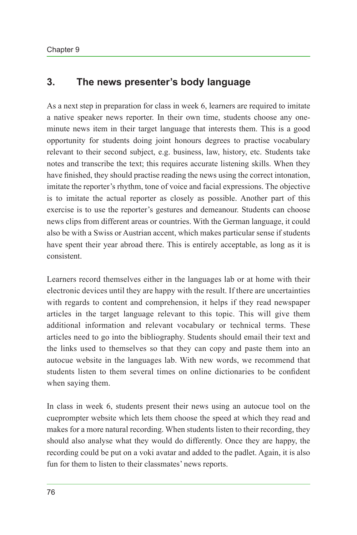#### **3. The news presenter's body language**

As a next step in preparation for class in week 6, learners are required to imitate a native speaker news reporter. In their own time, students choose any oneminute news item in their target language that interests them. This is a good opportunity for students doing joint honours degrees to practise vocabulary relevant to their second subject, e.g. business, law, history, etc. Students take notes and transcribe the text; this requires accurate listening skills. When they have finished, they should practise reading the news using the correct intonation, imitate the reporter's rhythm, tone of voice and facial expressions. The objective is to imitate the actual reporter as closely as possible. Another part of this exercise is to use the reporter's gestures and demeanour. Students can choose news clips from different areas or countries. With the German language, it could also be with a Swiss or Austrian accent, which makes particular sense if students have spent their year abroad there. This is entirely acceptable, as long as it is consistent.

Learners record themselves either in the languages lab or at home with their electronic devices until they are happy with the result. If there are uncertainties with regards to content and comprehension, it helps if they read newspaper articles in the target language relevant to this topic. This will give them additional information and relevant vocabulary or technical terms. These articles need to go into the bibliography. Students should email their text and the links used to themselves so that they can copy and paste them into an autocue website in the languages lab. With new words, we recommend that students listen to them several times on online dictionaries to be confident when saying them.

In class in week 6, students present their news using an autocue tool on the cueprompter website which lets them choose the speed at which they read and makes for a more natural recording. When students listen to their recording, they should also analyse what they would do differently. Once they are happy, the recording could be put on a voki avatar and added to the padlet. Again, it is also fun for them to listen to their classmates' news reports.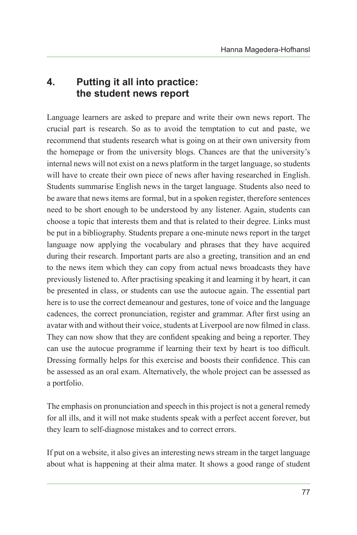## **4. Putting it all into practice: the student news report**

Language learners are asked to prepare and write their own news report. The crucial part is research. So as to avoid the temptation to cut and paste, we recommend that students research what is going on at their own university from the homepage or from the university blogs. Chances are that the university's internal news will not exist on a news platform in the target language, so students will have to create their own piece of news after having researched in English. Students summarise English news in the target language. Students also need to be aware that news items are formal, but in a spoken register, therefore sentences need to be short enough to be understood by any listener. Again, students can choose a topic that interests them and that is related to their degree. Links must be put in a bibliography. Students prepare a one-minute news report in the target language now applying the vocabulary and phrases that they have acquired during their research. Important parts are also a greeting, transition and an end to the news item which they can copy from actual news broadcasts they have previously listened to. After practising speaking it and learning it by heart, it can be presented in class, or students can use the autocue again. The essential part here is to use the correct demeanour and gestures, tone of voice and the language cadences, the correct pronunciation, register and grammar. After first using an avatar with and without their voice, students at Liverpool are now filmed in class. They can now show that they are confident speaking and being a reporter. They can use the autocue programme if learning their text by heart is too difficult. Dressing formally helps for this exercise and boosts their confidence. This can be assessed as an oral exam. Alternatively, the whole project can be assessed as a portfolio.

The emphasis on pronunciation and speech in this project is not a general remedy for all ills, and it will not make students speak with a perfect accent forever, but they learn to self-diagnose mistakes and to correct errors.

If put on a website, it also gives an interesting news stream in the target language about what is happening at their alma mater. It shows a good range of student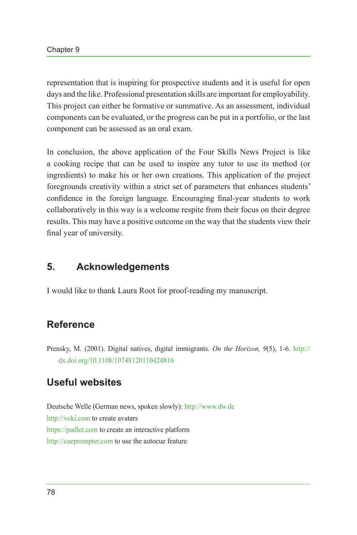representation that is inspiring for prospective students and it is useful for open days and the like. Professional presentation skills are important for employability. This project can either be formative or summative. As an assessment, individual components can be evaluated, or the progress can be put in a portfolio, or the last component can be assessed as an oral exam.

In conclusion, the above application of the Four Skills News Project is like a cooking recipe that can be used to inspire any tutor to use its method (or ingredients) to make his or her own creations. This application of the project foregrounds creativity within a strict set of parameters that enhances students' confidence in the foreign language. Encouraging final-year students to work collaboratively in this way is a welcome respite from their focus on their degree results. This may have a positive outcome on the way that the students view their final year of university.

#### **5. Acknowledgements**

I would like to thank Laura Root for proof-reading my manuscript.

## **Reference**

<span id="page-5-0"></span>Prensky, M. (2001). Digital natives, digital immigrants. *On the Horizon, 9*(5), 1-6. [http://](http://dx.doi.org/10.1108/10748120110424816) [dx.doi.org/10.1108/10748120110424816](http://dx.doi.org/10.1108/10748120110424816)

## **Useful websites**

<span id="page-5-2"></span><span id="page-5-1"></span>Deutsche Welle (German news, spoken slowly):<http://www.dw.de> <http://voki.com> to create avatars <https://padlet.com> to create an interactive platform <http://cueprompter.com> to use the autocue feature